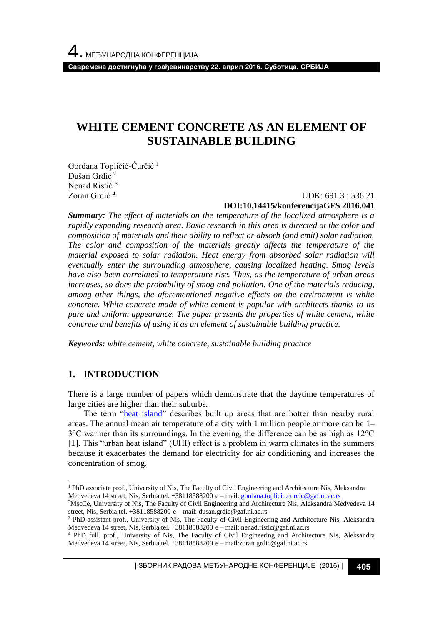**Савремена достигнућа у грађевинарству 22. април 2016. Суботица, СРБИЈА**

# **WHITE CEMENT CONCRETE AS AN ELEMENT OF SUSTAINABLE BUILDING**

Gordana Topličić-Ćurčić <sup>1</sup> Dušan Grdić <sup>2</sup> Nenad Ristić <sup>3</sup> Zoran Grdić <sup>4</sup>

#### UDK: 691.3 : 536.21 **DOI:10.14415/konferencijaGFS 2016.041**

*Summary: The effect of materials on the temperature of the localized atmosphere is a rapidly expanding research area. Basic research in this area is directed at the color and composition of materials and their ability to reflect or absorb (and emit) solar radiation. The color and composition of the materials greatly affects the temperature of the material exposed to solar radiation. Heat energy from absorbed solar radiation will eventually enter the surrounding atmosphere, causing localized heating. Smog levels have also been correlated to temperature rise. Thus, as the temperature of urban areas increases, so does the probability of smog and pollution. One of the materials reducing, among other things, the aforementioned negative effects on the environment is white concrete. White concrete made of white cement is popular with architects thanks to its pure and uniform appearance. The paper presents the properties of white cement, white concrete and benefits of using it as an element of sustainable building practice.*

*Keywords: white cement, white concrete, sustainable building practice*

## **1. INTRODUCTION**

l

There is a large number of papers which demonstrate that the daytime temperatures of large cities are higher than their suburbs.

The term ["heat island"](http://www.epa.gov/hiri/) describes built up areas that are hotter than nearby rural areas. The annual mean air temperature of a city with 1 million people or more can be 1– 3°C warmer than its surroundings. In the evening, the difference can be as high as 12°C [1]. This "urban heat island" (UHI) effect is a problem in warm climates in the summers because it exacerbates the demand for electricity for air conditioning and increases the concentration of smog.

| ЗБОРНИК РАДОВА МЕЂУНАРОДНЕ КОНФЕРЕНЦИЈЕ (2016) | **405**

<sup>1</sup> PhD associate prof., University of Nis, The Faculty of Civil Engineering and Architecture Nis, Aleksandra Medvedeva 14 street, Nis, Serbia,tel. +38118588200 e – mail[: gordana.toplicic.curcic@gaf.ni.ac.rs](mailto:gordana.toplicic.curcic@gaf.ni.ac.rs)

<sup>&</sup>lt;sup>2</sup>MscCe, University of Nis, The Faculty of Civil Engineering and Architecture Nis, Aleksandra Medvedeva 14 street, Nis, Serbia,tel. +38118588200 e – mail: dusan.grdic@gaf.ni.ac.rs

<sup>3</sup> PhD assistant prof., University of Nis, The Faculty of Civil Engineering and Architecture Nis, Aleksandra Medvedeva 14 street, Nis, Serbia,tel. +38118588200 e – mail: nenad.ristic@gaf.ni.ac.rs

<sup>4</sup> PhD full. prof., University of Nis, The Faculty of Civil Engineering and Architecture Nis, Aleksandra Medvedeva 14 street, Nis, Serbia,tel. +38118588200 e – mail:zoran.grdic@gaf.ni.ac.rs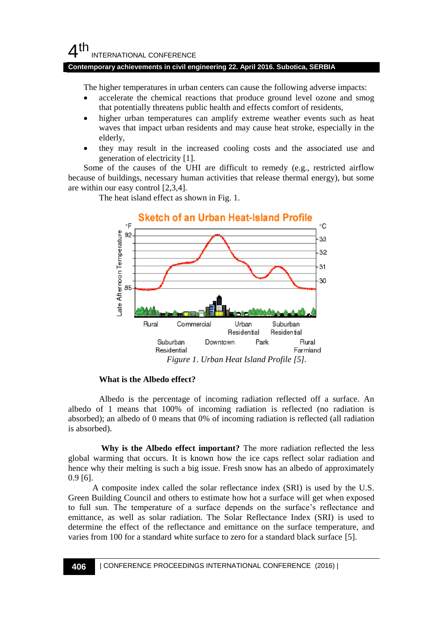# $4<sup>th</sup>$ INTERNATIONAL CONFERENCE

### **Contemporary achievements in civil engineering 22. April 2016. Subotica, SERBIA**

The higher temperatures in urban centers can cause the following adverse impacts:

- accelerate the chemical reactions that produce ground level ozone and smog that potentially threatens public health and effects comfort of residents,
- higher urban temperatures can amplify extreme weather events such as heat waves that impact urban residents and may cause heat stroke, especially in the elderly,
- they may result in the increased cooling costs and the associated use and generation of electricity [1].

Some of the causes of the UHI are difficult to remedy (e.g., restricted airflow because of buildings, necessary human activities that release thermal energy), but some are within our easy control [2,3,4].

> Sketch of an Urban Heat-Island Profile ٥F ۰C ate Afternoon Temperature 92 33 32 31 30 85 Commercial Urban Suburban Rural Residential Residential Rural Suburban Downtown Park Residential Farmland *Figure 1. Urban Heat Island Profile [5].*

The heat island effect as shown in Fig. 1.

#### **What is the Albedo effect?**

Albedo is the percentage of incoming radiation reflected off a surface. An albedo of 1 means that 100% of incoming radiation is reflected (no radiation is absorbed); an albedo of 0 means that 0% of incoming radiation is reflected (all radiation is absorbed).

**Why is the Albedo effect important?** The more radiation reflected the less global warming that occurs. It is known how the ice caps reflect solar radiation and hence why their melting is such a big issue. Fresh snow has an albedo of approximately 0.9 [6].

A composite index called the solar reflectance index (SRI) is used by the U.S. Green Building Council and others to estimate how hot a surface will get when exposed to full sun. The temperature of a surface depends on the surface's reflectance and emittance, as well as solar radiation. The Solar Reflectance Index (SRI) is used to determine the effect of the reflectance and emittance on the surface temperature, and varies from 100 for a standard white surface to zero for a standard black surface [5].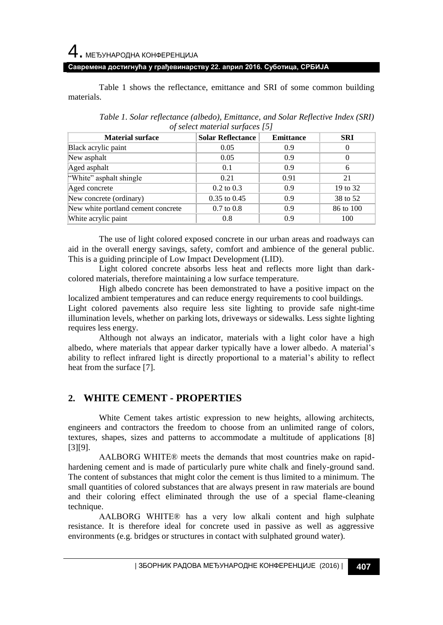4. МЕЂУНАРОДНА КОНФЕРЕНЦИЈА

### **Савремена достигнућа у грађевинарству 22. април 2016. Суботица, СРБИЈА**

Table 1 shows the reflectance, emittance and SRI of some common building materials.

| <b>Material surface</b>            | <b>Solar Reflectance</b> | <b>Emittance</b> | <b>SRI</b> |
|------------------------------------|--------------------------|------------------|------------|
| Black acrylic paint                | 0.05                     | 0.9              | 0          |
| New asphalt                        | 0.05                     | 0.9              | $\Omega$   |
| Aged asphalt                       | 0.1                      | 0.9              | 6          |
| "White" asphalt shingle            | 0.21                     | 0.91             | 21         |
| Aged concrete                      | $0.2 \text{ to } 0.3$    | 0.9              | 19 to 32   |
| New concrete (ordinary)            | $0.35$ to $0.45$         | 0.9              | 38 to 52   |
| New white portland cement concrete | $0.7 \text{ to } 0.8$    | 0.9              | 86 to 100  |
| White acrylic paint                | 0.8                      | 0.9              | 100        |

*Table 1. Solar reflectance (albedo), Emittance, and Solar Reflective Index (SRI) of select material surfaces [5]*

The use of light colored exposed concrete in our urban areas and roadways can aid in the overall energy savings, safety, comfort and ambience of the general public. This is a guiding principle of Low Impact Development (LID).

Light colored concrete absorbs less heat and reflects more light than darkcolored materials, therefore maintaining a low surface temperature.

High albedo concrete has been demonstrated to have a positive impact on the localized ambient temperatures and can reduce energy requirements to cool buildings.

Light colored pavements also require less site lighting to provide safe night-time illumination levels, whether on parking lots, driveways or sidewalks. Less sighte lighting requires less energy.

Although not always an indicator, materials with a light color have a high albedo, where materials that appear darker typically have a lower albedo. A material's ability to reflect infrared light is directly proportional to a material's ability to reflect heat from the surface [7].

# **2. WHITE CEMENT - PROPERTIES**

White Cement takes artistic expression to new heights, allowing architects, engineers and contractors the freedom to choose from an unlimited range of colors, textures, shapes, sizes and patterns to accommodate a multitude of applications [8] [3][9].

AALBORG WHITE® meets the demands that most countries make on rapidhardening cement and is made of particularly pure white chalk and finely-ground sand. The content of substances that might color the cement is thus limited to a minimum. The small quantities of colored substances that are always present in raw materials are bound and their coloring effect eliminated through the use of a special flame-cleaning technique.

AALBORG WHITE® has a very low alkali content and high sulphate resistance. It is therefore ideal for concrete used in passive as well as aggressive environments (e.g. bridges or structures in contact with sulphated ground water).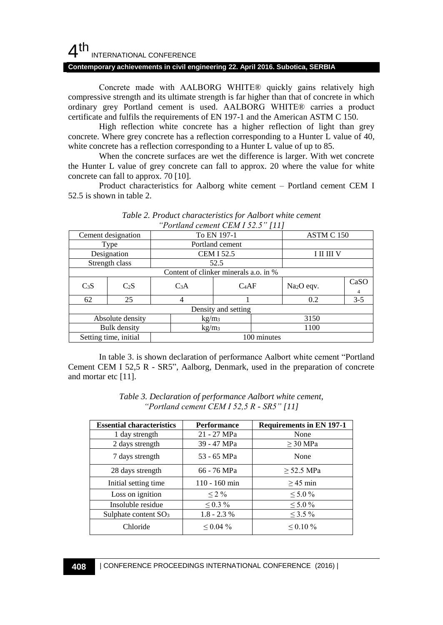# $4<sup>th</sup>$ INTERNATIONAL CONFERENCE

#### **Contemporary achievements in civil engineering 22. April 2016. Subotica, SERBIA**

Concrete made with AALBORG WHITE® quickly gains relatively high compressive strength and its ultimate strength is far higher than that of concrete in which ordinary grey Portland cement is used. AALBORG WHITE® carries a product certificate and fulfils the requirements of EN 197-1 and the American ASTM C 150.

High reflection white concrete has a higher reflection of light than grey concrete. Where grey concrete has a reflection corresponding to a Hunter L value of 40, white concrete has a reflection corresponding to a Hunter L value of up to 85.

When the concrete surfaces are wet the difference is larger. With wet concrete the Hunter L value of grey concrete can fall to approx. 20 where the value for white concrete can fall to approx. 70 [10].

Product characteristics for Aalborg white cement – Portland cement CEM I 52.5 is shown in table 2.

|                                       |                       |                  | Portland cement CEM 132.3 [11] |                        |            |  |
|---------------------------------------|-----------------------|------------------|--------------------------------|------------------------|------------|--|
|                                       | Cement designation    |                  | To EN 197-1                    |                        | ASTM C 150 |  |
|                                       | Type                  |                  | Portland cement                |                        |            |  |
|                                       | Designation           |                  | <b>CEM I 52.5</b>              |                        | I II III V |  |
|                                       | Strength class        |                  | 52.5                           |                        |            |  |
| Content of clinker minerals a.o. in % |                       |                  |                                |                        |            |  |
| C <sub>3</sub> S                      | $C_2S$                | C <sub>3</sub> A | $C_4AF$                        | Na <sub>2</sub> O eqv. | CaSO       |  |
|                                       |                       |                  |                                |                        | 4          |  |
| 62                                    | 25                    | 4                |                                | 0.2                    | $3 - 5$    |  |
| Density and setting                   |                       |                  |                                |                        |            |  |
|                                       | Absolute density      |                  | kg/m <sub>3</sub>              |                        | 3150       |  |
|                                       | <b>Bulk</b> density   |                  | kg/m <sub>3</sub>              |                        | 1100       |  |
|                                       | Setting time, initial |                  | 100 minutes                    |                        |            |  |

| Table 2. Product characteristics for Aalbort white cement |  |
|-----------------------------------------------------------|--|
| "Portland cement CEM I $52.5$ " [11]                      |  |

In table 3. is shown declaration of performance Aalbort white cement "Portland Cement CEM I 52,5 R - SR5", Aalborg, Denmark, used in the preparation of concrete and mortar etc [11].

| <b>Essential characteristics</b> | <b>Performance</b> | <b>Requirements in EN 197-1</b> |
|----------------------------------|--------------------|---------------------------------|
| 1 day strength                   | 21 - 27 MPa        | None                            |
| 2 days strength                  | 39 - 47 MPa        | $\geq$ 30 MPa                   |
| 7 days strength                  | 53 - 65 MPa        | None                            |
| 28 days strength                 | 66 - 76 MPa        | $\geq$ 52.5 MPa                 |
| Initial setting time             | $110 - 160$ min    | $>45$ min                       |
| Loss on ignition                 | $< 2\%$            | $< 5.0 \%$                      |
| Insoluble residue                | $\leq 0.3 \%$      | $\leq 5.0 \%$                   |
| Sulphate content SO <sub>3</sub> | $1.8 - 2.3 %$      | $\leq$ 3.5 %                    |
| Chloride                         | $0.04\%$           | $\leq 0.10 \%$                  |

| Table 3. Declaration of performance Aalbort white cement, |  |  |
|-----------------------------------------------------------|--|--|
| "Portland cement CEM I 52,5 R - SR5" [11]                 |  |  |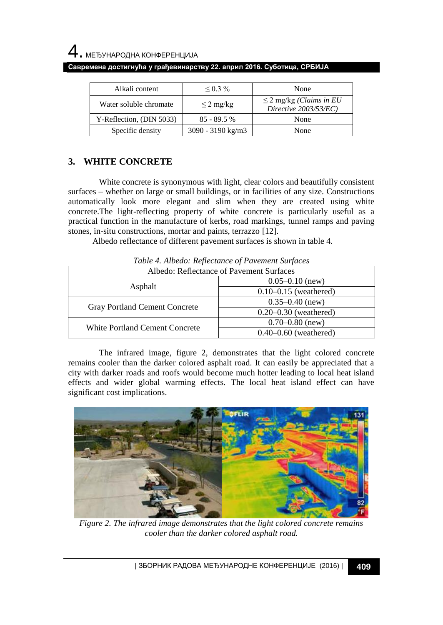| Alkali content           | $0.3\%$             | None                                                  |
|--------------------------|---------------------|-------------------------------------------------------|
| Water soluble chromate   | $\leq$ 2 mg/kg      | $\leq$ 2 mg/kg (Claims in EU<br>Directive 2003/53/EC) |
| Y-Reflection, (DIN 5033) | $85 - 89.5%$        | None                                                  |
| Specific density         | $3090 - 3190$ kg/m3 | None                                                  |

# **3. WHITE CONCRETE**

White concrete is synonymous with light, clear colors and beautifully consistent surfaces – whether on large or small buildings, or in facilities of any size. Constructions automatically look more elegant and slim when they are created using white concrete.The light-reflecting property of white concrete is particularly useful as a practical function in the manufacture of kerbs, road markings, tunnel ramps and paving stones, in-situ constructions, mortar and paints, terrazzo [12].

Albedo reflectance of different pavement surfaces is shown in table 4.

*Table 4. Albedo: Reflectance of Pavement Surfaces*

| Albedo: Reflectance of Pavement Surfaces |                           |  |
|------------------------------------------|---------------------------|--|
| Asphalt                                  | $0.05 - 0.10$ (new)       |  |
|                                          | $0.10 - 0.15$ (weathered) |  |
| Gray Portland Cement Concrete            | $0.35 - 0.40$ (new)       |  |
|                                          | $0.20 - 0.30$ (weathered) |  |
| <b>White Portland Cement Concrete</b>    | $0.70 - 0.80$ (new)       |  |
|                                          | $0.40 - 0.60$ (weathered) |  |

The infrared image, figure 2, demonstrates that the light colored concrete remains cooler than the darker colored asphalt road. It can easily be appreciated that a city with darker roads and roofs would become much hotter leading to local heat island effects and wider global warming effects. The local heat island effect can have significant cost implications.



*Figure 2. The infrared image demonstrates that the light colored concrete remains cooler than the darker colored asphalt road.*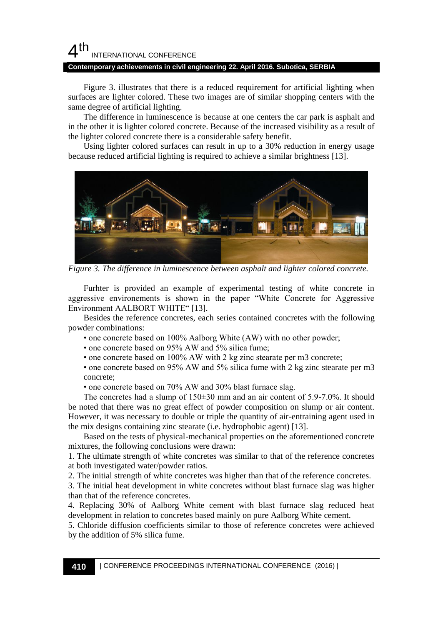#### 4 th INTERNATIONAL CONFERENCE

#### **Contemporary achievements in civil engineering 22. April 2016. Subotica, SERBIA**

Figure 3. illustrates that there is a reduced requirement for artificial lighting when surfaces are lighter colored. These two images are of similar shopping centers with the same degree of artificial lighting.

The difference in luminescence is because at one centers the car park is asphalt and in the other it is lighter colored concrete. Because of the increased visibility as a result of the lighter colored concrete there is a considerable safety benefit.

Using lighter colored surfaces can result in up to a 30% reduction in energy usage because reduced artificial lighting is required to achieve a similar brightness [13].



*Figure 3. The difference in luminescence between asphalt and lighter colored concrete.*

Furhter is provided an example of experimental testing of white concrete in aggressive environements is shown in the paper "White Concrete for Aggressive Environment AALBORT WHITE" [13].

Besides the reference concretes, each series contained concretes with the following powder combinations:

• one concrete based on 100% Aalborg White (AW) with no other powder;

• one concrete based on 95% AW and 5% silica fume:

• one concrete based on 100% AW with 2 kg zinc stearate per m3 concrete;

• one concrete based on 95% AW and 5% silica fume with 2 kg zinc stearate per m3 concrete;

• one concrete based on 70% AW and 30% blast furnace slag.

The concretes had a slump of 150±30 mm and an air content of 5.9-7.0%. It should be noted that there was no great effect of powder composition on slump or air content. However, it was necessary to double or triple the quantity of air-entraining agent used in the mix designs containing zinc stearate (i.e. hydrophobic agent) [13].

Based on the tests of physical-mechanical properties on the aforementioned concrete mixtures, the following conclusions were drawn:

1. The ultimate strength of white concretes was similar to that of the reference concretes at both investigated water/powder ratios.

2. The initial strength of white concretes was higher than that of the reference concretes.

3. The initial heat development in white concretes without blast furnace slag was higher than that of the reference concretes.

4. Replacing 30% of Aalborg White cement with blast furnace slag reduced heat development in relation to concretes based mainly on pure Aalborg White cement.

5. Chloride diffusion coefficients similar to those of reference concretes were achieved by the addition of 5% silica fume.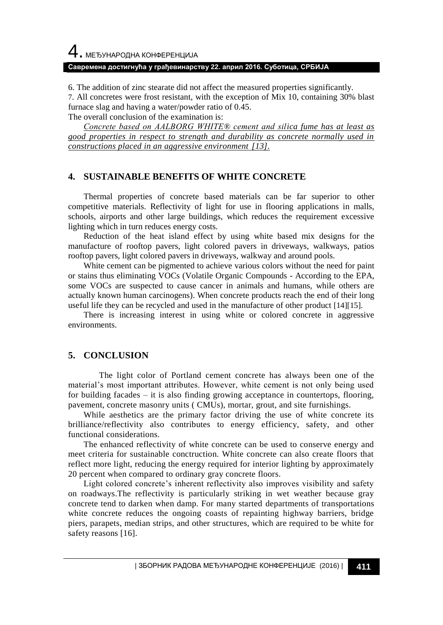### **Савремена достигнућа у грађевинарству 22. април 2016. Суботица, СРБИЈА**

6. The addition of zinc stearate did not affect the measured properties significantly.

7. All concretes were frost resistant, with the exception of Mix 10, containing 30% blast furnace slag and having a water/powder ratio of 0.45.

The overall conclusion of the examination is:

*Concrete based on AALBORG WHITE® cement and silica fume has at least as good properties in respect to strength and durability as concrete normally used in constructions placed in an aggressive environment [13].*

# **4. SUSTAINABLE BENEFITS OF WHITE CONCRETE**

Thermal properties of concrete based materials can be far superior to other competitive materials. Reflectivity of light for use in flooring applications in malls, schools, airports and other large buildings, which reduces the requirement excessive lighting which in turn reduces energy costs.

Reduction of the heat island effect by using white based mix designs for the manufacture of rooftop pavers, light colored pavers in driveways, walkways, patios rooftop pavers, light colored pavers in driveways, walkway and around pools.

White cement can be pigmented to achieve various colors without the need for paint or stains thus eliminating VOCs (Volatile Organic Compounds - According to the EPA, some VOCs are suspected to cause cancer in animals and humans, while others are actually known human carcinogens). When concrete products reach the end of their long useful life they can be recycled and used in the manufacture of other product [14][15].

There is increasing interest in using white or colored concrete in aggressive environments.

# **5. CONCLUSION**

The light color of Portland cement concrete has always been one of the material's most important attributes. However, white cement is not only being used for building facades  $-$  it is also finding growing acceptance in countertops, flooring, pavement, concrete masonry units ( CMUs), mortar, grout, and site furnishings.

While aesthetics are the primary factor driving the use of white concrete its brilliance/reflectivity also contributes to energy efficiency, safety, and other functional considerations.

The enhanced reflectivity of white concrete can be used to conserve energy and meet criteria for sustainable conctruction. White concrete can also create floors that reflect more light, reducing the energy required for interior lighting by approximately 20 percent when compared to ordinary gray concrete floors.

Light colored concrete's inherent reflectivity also improves visibility and safety on roadways.The reflectivity is particularly striking in wet weather because gray concrete tend to darken when damp. For many started departments of transportations white concrete reduces the ongoing coasts of repainting highway barriers, bridge piers, parapets, median strips, and other structures, which are required to be white for safety reasons [16].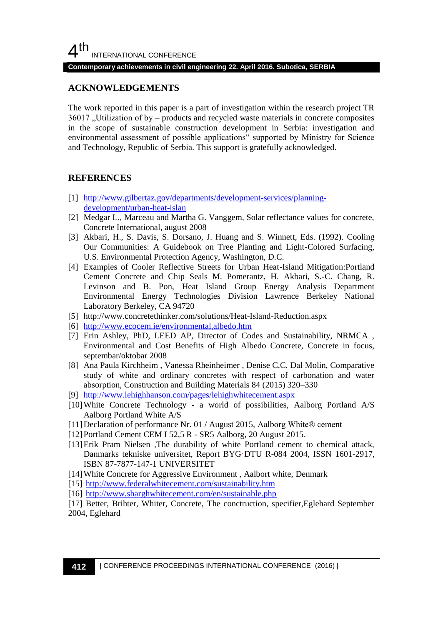#### **Contemporary achievements in civil engineering 22. April 2016. Subotica, SERBIA**

# **ACKNOWLEDGEMENTS**

The work reported in this paper is a part of investigation within the research project TR  $36017$ , Utilization of by – products and recycled waste materials in concrete composites in the scope of sustainable construction development in Serbia: investigation and environmental assessment of possible applications" supported by Ministry for Science and Technology, Republic of Serbia. This support is gratefully acknowledged.

### **REFERENCES**

- [1] [http://www.gilbertaz.gov/departments/development-services/planning](http://www.gilbertaz.gov/departments/development-services/planning-development/urban-heat-islan)[development/urban-heat-islan](http://www.gilbertaz.gov/departments/development-services/planning-development/urban-heat-islan)
- [2] Medgar L., Marceau and Martha G. Vanggem, Solar reflectance values for concrete, Concrete International, august 2008
- [3] Akbari, H., S. Davis, S. Dorsano, J. Huang and S. Winnett, Eds. (1992). Cooling Our Communities: A Guidebook on Tree Planting and Light-Colored Surfacing, U.S. Environmental Protection Agency, Washington, D.C.
- [4] Examples of Cooler Reflective Streets for Urban Heat-Island Mitigation:Portland Cement Concrete and Chip Seals M. Pomerantz, H. Akbari, S.-C. Chang, R. Levinson and B. Pon, Heat Island Group Energy Analysis Department Environmental Energy Technologies Division Lawrence Berkeley National Laboratory Berkeley, CA 94720
- [5] http://www.concretethinker.com/solutions/Heat-Island-Reduction.aspx
- [6] <http://www.ecocem.ie/environmental,albedo.htm>
- [7] Erin Ashley, PhD, LEED AP, Director of Codes and Sustainability, NRMCA , Environmental and Cost Benefits of High Albedo Concrete, Concrete in focus, septembar/oktobar 2008
- [8] Ana Paula Kirchheim , Vanessa Rheinheimer , Denise C.C. Dal Molin, Comparative study of white and ordinary concretes with respect of carbonation and water absorption, Construction and Building Materials 84 (2015) 320–330
- [9] <http://www.lehighhanson.com/pages/lehighwhitecement.aspx>
- [10]White Concrete Technology a world of possibilities, Aalborg Portland A/S Aalborg Portland White A/S
- [11]Declaration of performance Nr. 01 / August 2015, Aalborg White® cement
- [12]Portland Cement CEM I 52,5 R SR5 Aalborg, 20 August 2015.
- [13]Erik Pram Nielsen ,The durability of white Portland cement to chemical attack, Danmarks tekniske universitet, Report BYG·DTU R-084 2004, ISSN 1601-2917, ISBN 87-7877-147-1 UNIVERSITET
- [14]White Concrete for Aggressive Environment , Aalbort white, Denmark
- [15] <http://www.federalwhitecement.com/sustainability.htm>
- [16] <http://www.sharghwhitecement.com/en/sustainable.php>

[17] Better, Brihter, Whiter, Concrete, The conctruction, specifier,Eglehard September 2004, Eglehard